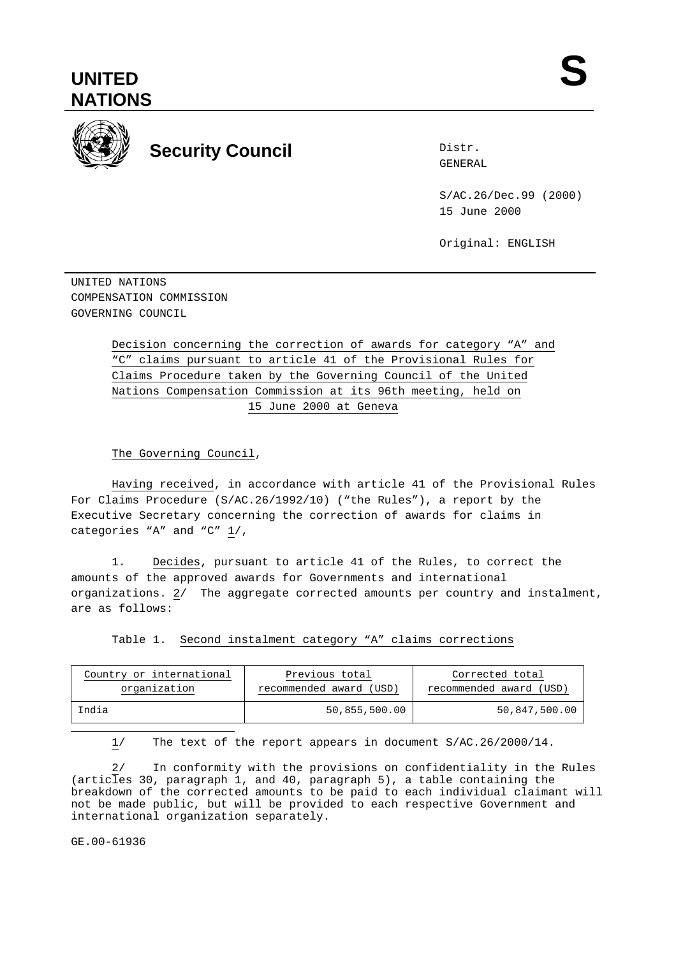# **UNITED NATIONS**



# **Security Council Security Council Security** Council

Distr.

S/AC.26/Dec.99 (2000) 15 June 2000

Original: ENGLISH

UNITED NATIONS COMPENSATION COMMISSION GOVERNING COUNCIL

> Decision concerning the correction of awards for category "A" and "C" claims pursuant to article 41 of the Provisional Rules for Claims Procedure taken by the Governing Council of the United Nations Compensation Commission at its 96th meeting, held on 15 June 2000 at Geneva

The Governing Council,

Having received, in accordance with article 41 of the Provisional Rules For Claims Procedure (S/AC.26/1992/10) ("the Rules"), a report by the Executive Secretary concerning the correction of awards for claims in categories "A" and "C" 1/,

1. Decides, pursuant to article 41 of the Rules, to correct the amounts of the approved awards for Governments and international organizations. 2/ The aggregate corrected amounts per country and instalment, are as follows:

Table 1. Second instalment category "A" claims corrections

| Country or international | Previous total          | Corrected total         |
|--------------------------|-------------------------|-------------------------|
| organization             | recommended award (USD) | recommended award (USD) |
| India                    | 50,855,500.00           | 50,847,500.00           |

1/ The text of the report appears in document S/AC.26/2000/14.

2/ In conformity with the provisions on confidentiality in the Rules (articles 30, paragraph 1, and 40, paragraph 5), a table containing the breakdown of the corrected amounts to be paid to each individual claimant will not be made public, but will be provided to each respective Government and international organization separately.

GE.00-61936

÷,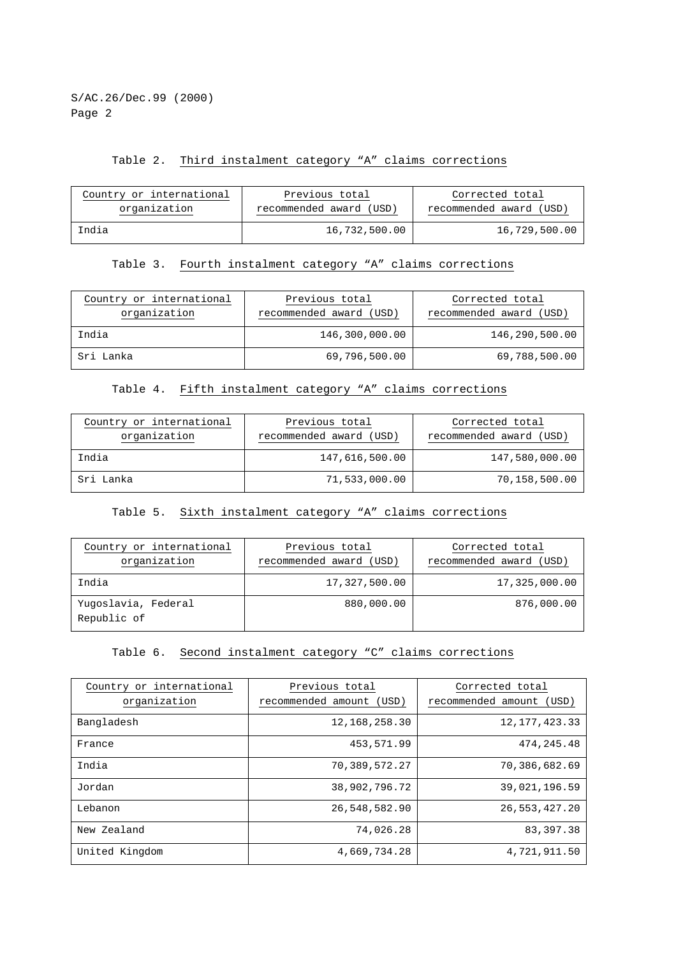S/AC.26/Dec.99 (2000) Page 2

### Table 2. Third instalment category "A" claims corrections

| Country or international | Previous total          | Corrected total         |
|--------------------------|-------------------------|-------------------------|
| organization             | recommended award (USD) | recommended award (USD) |
| India                    | 16,732,500.00           | 16,729,500.00           |

#### Table 3. Fourth instalment category "A" claims corrections

| Country or international<br>organization | Previous total<br>recommended award (USD) | Corrected total<br>recommended award (USD) |
|------------------------------------------|-------------------------------------------|--------------------------------------------|
| India                                    | 146,300,000.00                            | 146,290,500.00                             |
| Sri Lanka                                | 69,796,500.00                             | 69,788,500.00                              |

#### Table 4. Fifth instalment category "A" claims corrections

| Country or international<br>organization | Previous total<br>recommended award (USD) | Corrected total<br>recommended award (USD) |
|------------------------------------------|-------------------------------------------|--------------------------------------------|
| India                                    | 147,616,500.00                            | 147,580,000.00                             |
| Sri Lanka                                | 71,533,000.00                             | 70,158,500.00                              |

#### Table 5. Sixth instalment category "A" claims corrections

| Country or international<br>organization | Previous total<br>recommended award (USD) | Corrected total<br>recommended award (USD) |
|------------------------------------------|-------------------------------------------|--------------------------------------------|
| India                                    | 17,327,500.00                             | 17,325,000.00                              |
| Yuqoslavia, Federal<br>Republic of       | 880,000.00                                | 876,000.00                                 |

#### Table 6. Second instalment category "C" claims corrections

| Country or international<br>organization | Previous total<br>recommended amount<br>(USD) | Corrected total<br>recommended amount (USD) |
|------------------------------------------|-----------------------------------------------|---------------------------------------------|
| Bangladesh                               | 12, 168, 258. 30                              | 12, 177, 423. 33                            |
| France                                   | 453,571.99                                    | 474, 245. 48                                |
| India                                    | 70,389,572.27                                 | 70,386,682.69                               |
| Jordan                                   | 38,902,796.72                                 | 39,021,196.59                               |
| Lebanon                                  | 26,548,582.90                                 | 26,553,427.20                               |
| New Zealand                              | 74,026.28                                     | 83, 397. 38                                 |
| United Kingdom                           | 4,669,734.28                                  | 4,721,911.50                                |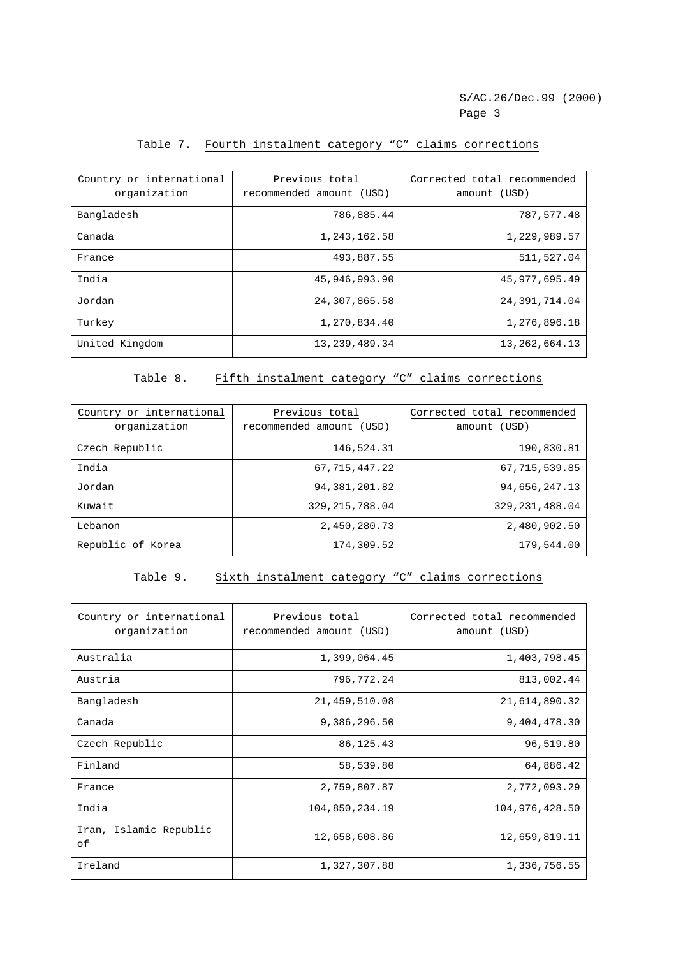#### Table 7. Fourth instalment category "C" claims corrections

| Country or international<br>organization | Previous total<br>recommended amount<br>(USD) | Corrected total recommended<br>(USD)<br>amount |
|------------------------------------------|-----------------------------------------------|------------------------------------------------|
| Bangladesh                               | 786,885.44                                    | 787,577.48                                     |
| Canada                                   | 1,243,162.58                                  | 1,229,989.57                                   |
| France                                   | 493,887.55                                    | 511,527.04                                     |
| India                                    | 45,946,993.90                                 | 45, 977, 695.49                                |
| Jordan                                   | 24,307,865.58                                 | 24, 391, 714.04                                |
| Turkey                                   | 1,270,834.40                                  | 1,276,896.18                                   |
| United Kingdom                           | 13, 239, 489. 34                              | 13, 262, 664. 13                               |

#### Table 8. Fifth instalment category "C" claims corrections

| Country or international<br>organization | Previous total<br>recommended amount<br>(USD) | Corrected total recommended<br>(USD)<br>amount |
|------------------------------------------|-----------------------------------------------|------------------------------------------------|
| Czech Republic                           | 146,524.31                                    | 190,830.81                                     |
| India                                    | 67, 715, 447.22                               | 67, 715, 539.85                                |
| Jordan                                   | 94, 381, 201.82                               | 94,656,247.13                                  |
| Kuwait                                   | 329, 215, 788.04                              | 329, 231, 488.04                               |
| Lebanon                                  | 2,450,280.73                                  | 2,480,902.50                                   |
| Republic of Korea                        | 174,309.52                                    | 179,544.00                                     |

#### Table 9. Sixth instalment category "C" claims corrections

| Country or international<br>organization | Previous total<br>recommended amount<br>(USD) | Corrected total recommended<br>(USD)<br>amount |
|------------------------------------------|-----------------------------------------------|------------------------------------------------|
| Australia                                | 1,399,064.45                                  | 1,403,798.45                                   |
| Austria                                  | 796,772.24                                    | 813,002.44                                     |
| Bangladesh                               | 21, 459, 510.08                               | 21,614,890.32                                  |
| Canada                                   | 9,386,296.50                                  | 9,404,478.30                                   |
| Czech Republic                           | 86, 125. 43                                   | 96,519.80                                      |
| Finland                                  | 58,539.80                                     | 64,886.42                                      |
| France                                   | 2,759,807.87                                  | 2,772,093.29                                   |
| India                                    | 104,850,234.19                                | 104, 976, 428.50                               |
| Iran, Islamic Republic<br>оf             | 12,658,608.86                                 | 12,659,819.11                                  |
| Ireland                                  | 1,327,307.88                                  | 1,336,756.55                                   |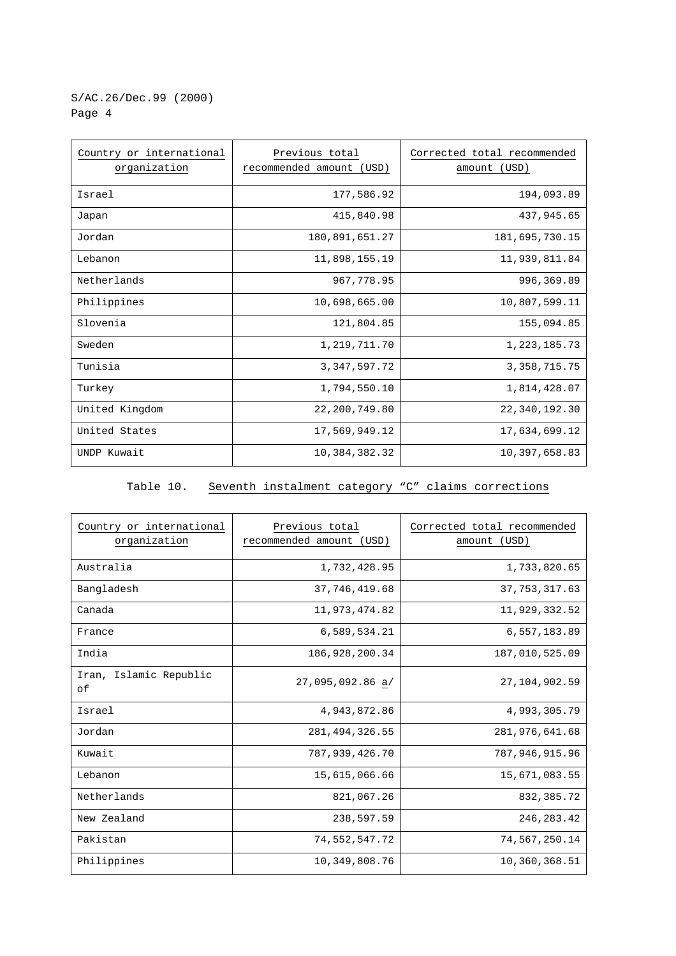## S/AC.26/Dec.99 (2000) Page 4

| Country or international<br>organization | Previous total<br>recommended amount (USD) | Corrected total recommended<br>amount (USD) |
|------------------------------------------|--------------------------------------------|---------------------------------------------|
| Israel                                   | 177,586.92                                 | 194,093.89                                  |
| Japan                                    | 415,840.98                                 | 437,945.65                                  |
| Jordan                                   | 180,891,651.27                             | 181,695,730.15                              |
| Lebanon                                  | 11,898,155.19                              | 11,939,811.84                               |
| Netherlands                              | 967,778.95                                 | 996,369.89                                  |
| Philippines                              | 10,698,665.00                              | 10,807,599.11                               |
| Slovenia                                 | 121,804.85                                 | 155,094.85                                  |
| Sweden                                   | 1,219,711.70                               | 1,223,185.73                                |
| Tunisia                                  | 3, 347, 597. 72                            | 3, 358, 715. 75                             |
| Turkey                                   | 1,794,550.10                               | 1,814,428.07                                |
| United Kingdom                           | 22, 200, 749.80                            | 22,340,192.30                               |
| United States                            | 17,569,949.12                              | 17,634,699.12                               |
| UNDP Kuwait                              | 10,384,382.32                              | 10,397,658.83                               |

# Table 10. Seventh instalment category "C" claims corrections

| Country or international<br>organization | Previous total<br>recommended amount<br>(USD) | Corrected total recommended<br>amount (USD) |
|------------------------------------------|-----------------------------------------------|---------------------------------------------|
| Australia                                | 1,732,428.95                                  | 1,733,820.65                                |
| Bangladesh                               | 37, 746, 419.68                               | 37, 753, 317.63                             |
| Canada                                   | 11,973,474.82                                 | 11,929,332.52                               |
| France                                   | 6,589,534.21                                  | 6,557,183.89                                |
| India                                    | 186,928,200.34                                | 187,010,525.09                              |
| Iran, Islamic Republic<br>οf             | 27,095,092.86 a/                              | 27, 104, 902. 59                            |
| Israel                                   | 4,943,872.86                                  | 4,993,305.79                                |
| Jordan                                   | 281, 494, 326.55                              | 281,976,641.68                              |
| Kuwait                                   | 787,939,426.70                                | 787,946,915.96                              |
| Lebanon                                  | 15,615,066.66                                 | 15,671,083.55                               |
| Netherlands                              | 821,067.26                                    | 832, 385. 72                                |
| New Zealand                              | 238,597.59                                    | 246, 283.42                                 |
| Pakistan                                 | 74,552,547.72                                 | 74,567,250.14                               |
| Philippines                              | 10,349,808.76                                 | 10,360,368.51                               |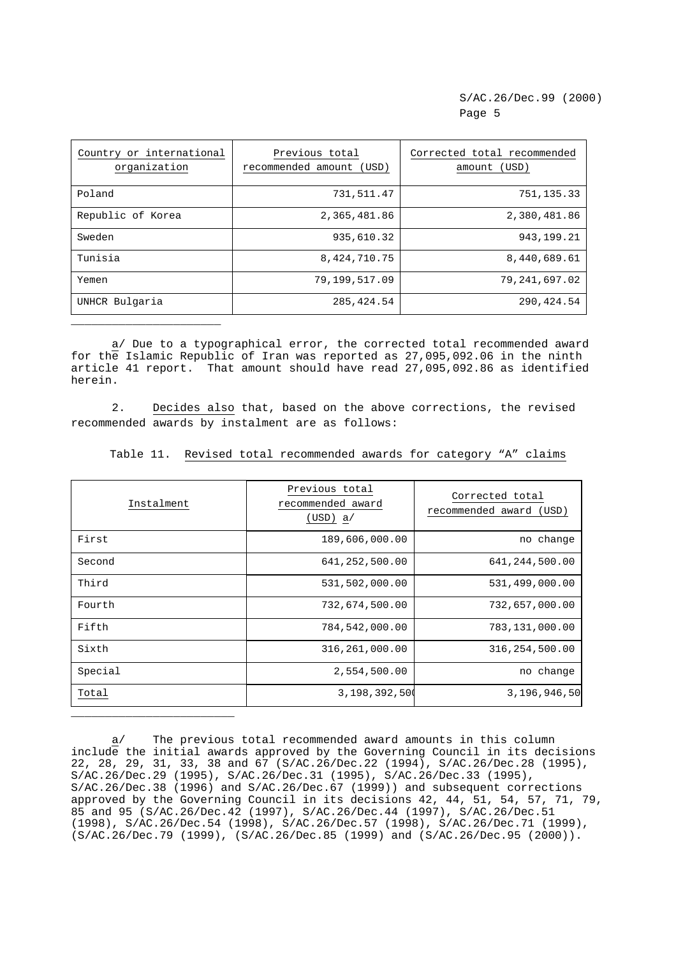| Country or international<br>organization | Previous total<br>recommended amount (USD) | Corrected total recommended<br>amount (USD) |
|------------------------------------------|--------------------------------------------|---------------------------------------------|
| Poland                                   | 731,511.47                                 | 751, 135.33                                 |
| Republic of Korea                        | 2,365,481.86                               | 2,380,481.86                                |
| Sweden                                   | 935,610.32                                 | 943, 199. 21                                |
| Tunisia                                  | 8, 424, 710. 75                            | 8,440,689.61                                |
| Yemen                                    | 79,199,517.09                              | 79, 241, 697.02                             |
| UNHCR Bulgaria                           | 285, 424.54                                | 290, 424.54                                 |

a/ Due to a typographical error, the corrected total recommended award for the Islamic Republic of Iran was reported as 27,095,092.06 in the ninth article 41 report. That amount should have read 27,095,092.86 as identified herein.

\_\_\_\_\_\_\_\_\_\_\_\_\_\_\_\_\_\_\_\_\_\_

2. Decides also that, based on the above corrections, the revised recommended awards by instalment are as follows:

Table 11. Revised total recommended awards for category "A" claims

| Instalment | Previous total<br>recommended award<br>(USD) a/ | Corrected total<br>recommended award (USD) |
|------------|-------------------------------------------------|--------------------------------------------|
| First      | 189,606,000.00                                  | no change                                  |
| Second     | 641,252,500.00                                  | 641, 244, 500.00                           |
| Third      | 531,502,000.00                                  | 531,499,000.00                             |
| Fourth     | 732,674,500.00                                  | 732,657,000.00                             |
| Fifth      | 784,542,000.00                                  | 783,131,000.00                             |
| Sixth      | 316,261,000.00                                  | 316, 254, 500.00                           |
| Special    | 2,554,500.00                                    | no change                                  |
| Total      | 3,198,392,500                                   | 3,196,946,50                               |
|            |                                                 |                                            |

a/ The previous total recommended award amounts in this column include the initial awards approved by the Governing Council in its decisions 22, 28, 29, 31, 33, 38 and 67 (S/AC.26/Dec.22 (1994), S/AC.26/Dec.28 (1995), S/AC.26/Dec.29 (1995), S/AC.26/Dec.31 (1995), S/AC.26/Dec.33 (1995), S/AC.26/Dec.38 (1996) and S/AC.26/Dec.67 (1999)) and subsequent corrections approved by the Governing Council in its decisions 42, 44, 51, 54, 57, 71, 79, 85 and 95 (S/AC.26/Dec.42 (1997), S/AC.26/Dec.44 (1997), S/AC.26/Dec.51 (1998), S/AC.26/Dec.54 (1998), S/AC.26/Dec.57 (1998), S/AC.26/Dec.71 (1999), (S/AC.26/Dec.79 (1999), (S/AC.26/Dec.85 (1999) and (S/AC.26/Dec.95 (2000)).